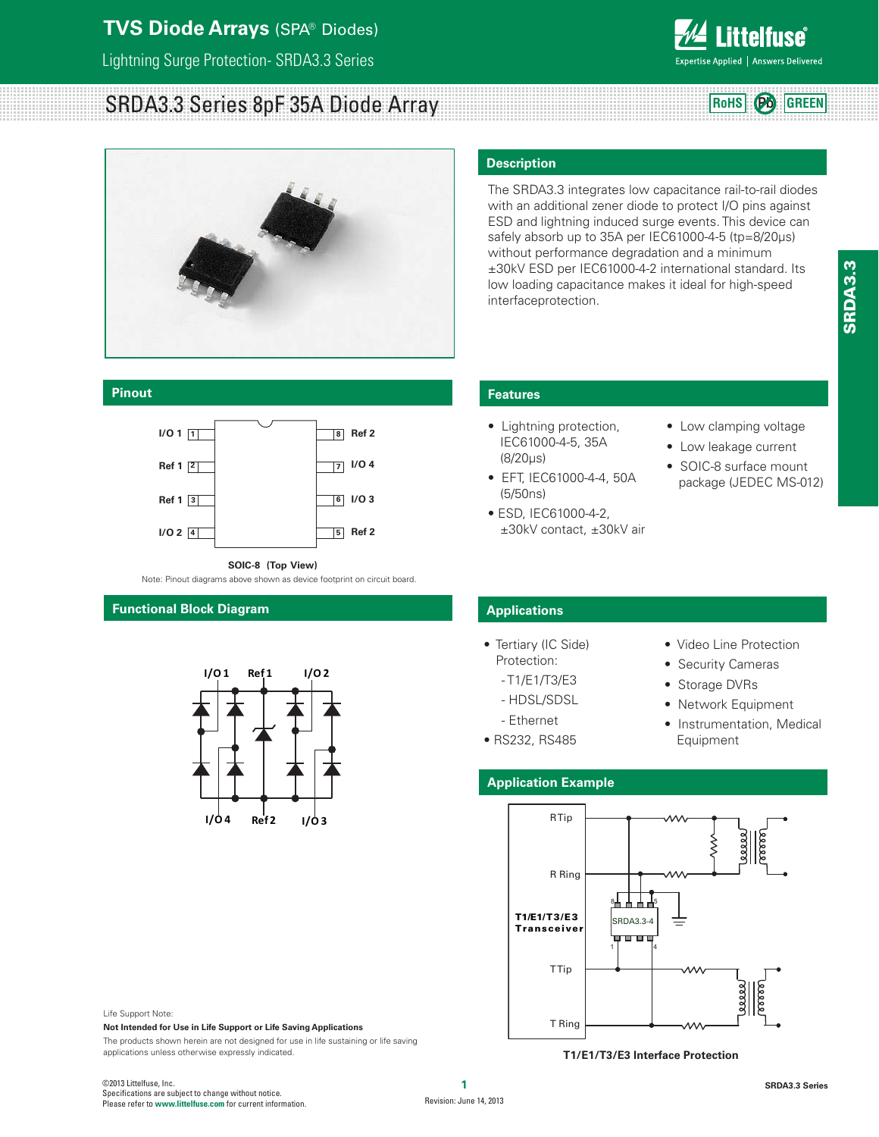### **TVS Diode Arrays** (SPA® Diodes)

Lightning Surge Protection- SRDA3.3 Series

# SRDA3.3 Series 8pF 35A Diode Array



#### **Pinout**



**SOIC-8 (Top View)**

Note: Pinout diagrams above shown as device footprint on circuit board.

### **Functional Block Diagram**



### **Description**

The SRDA3.3 integrates low capacitance rail-to-rail diodes with an additional zener diode to protect I/O pins against ESD and lightning induced surge events. This device can safely absorb up to 35A per IEC61000-4-5 (tp=8/20μs) without performance degradation and a minimum ±30kV ESD per IEC61000-4-2 international standard. Its low loading capacitance makes it ideal for high-speed interfaceprotection.

### **Features**

- Lightning protection, IEC61000-4-5, 35A (8/20μs)
- EFT, IEC61000-4-4, 50A (5/50ns)
- ESD, IEC61000-4-2, ±30kV contact, ±30kV air
- Low clamping voltage
- Low leakage current
- SOIC-8 surface mount package (JEDEC MS-012)

### **Applications**

- Tertiary (IC Side)
	- Protection:
	- T1/E1/T3/E3
	- HDSL/SDSL
	- Ethernet
- RS232, RS485
- Video Line Protection
- Security Cameras
- Storage DVRs
- Network Equipment
- Instrumentation, Medical Equipment

### **Application Example**



**T1/E1/T3/E3 Interface Protection**

applications unless otherwise expressly indicated.

**Not Intended for Use in Life Support or Life Saving Applications**

The products shown herein are not designed for use in life sustaining or life saving

Life Support Note:

**ittelfuse** Expertise Applied | Answers Delivered

**RoHS Pb GREEN**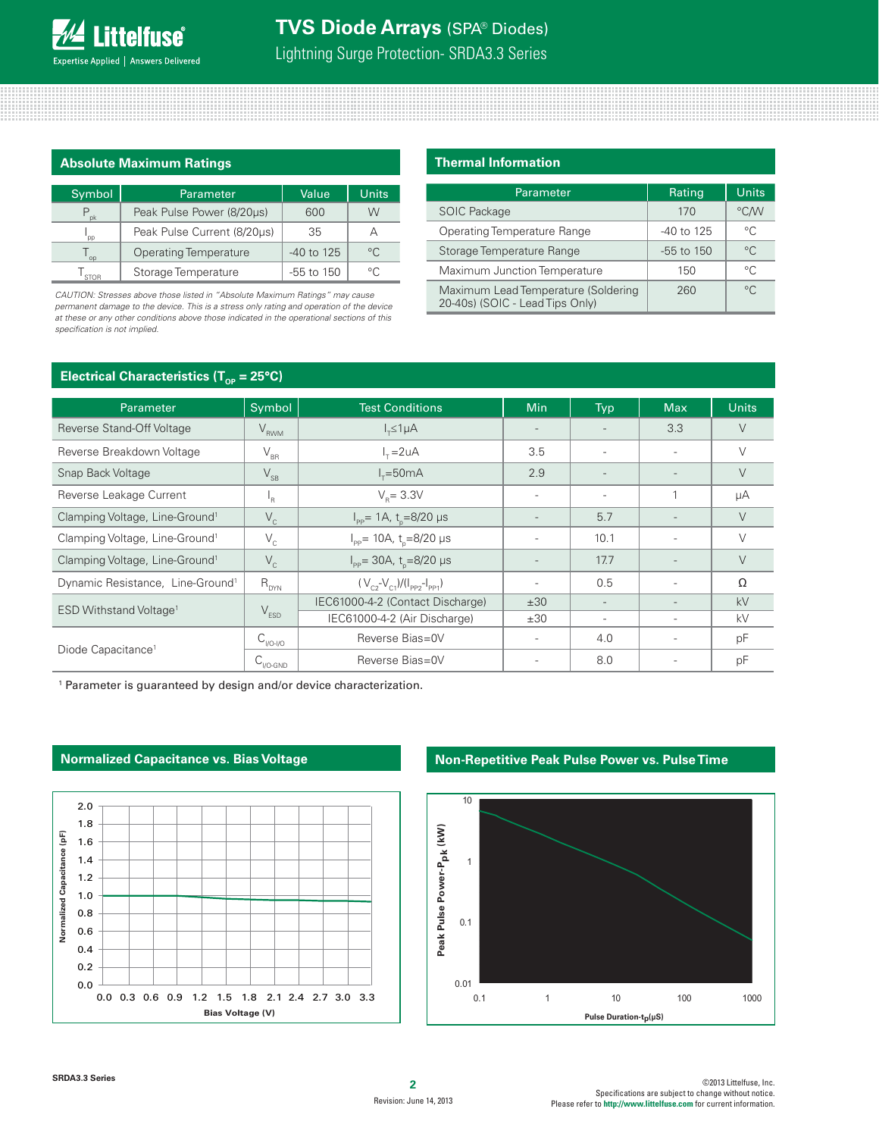### **Absolute Maximum Ratings**

| Symbol      | <b>Parameter</b>             | Value        | Units          |
|-------------|------------------------------|--------------|----------------|
| pk          | Peak Pulse Power (8/20µs)    | 600          | W              |
| pp          | Peak Pulse Current (8/20us)  | 35           |                |
| op          | <b>Operating Temperature</b> | $-40$ to 125 | $\circ$        |
| <b>STOR</b> | Storage Temperature          | $-55$ to 150 | $\circ$ $\cap$ |

CAUTION: Stresses above those listed in "Absolute Maximum Ratings" may cause *permanent damage to the device. This is a stress only rating and operation of the device at these or any other conditions above those indicated in the operational sections of this*  specification is not implied.

### **Thermal Information**

| Parameter                                                              | Rating         | Units       |
|------------------------------------------------------------------------|----------------|-------------|
| <b>SOIC Package</b>                                                    | 170            | °C/W        |
| Operating Temperature Range                                            | -40 to 125     | °C          |
| Storage Temperature Range                                              | $-55$ to $150$ | $^{\circ}C$ |
| Maximum Junction Temperature                                           | 150            | °C          |
| Maximum Lead Temperature (Soldering<br>20-40s) (SOIC - Lead Tips Only) | 260            | $^{\circ}C$ |

### **Electrical Characteristics (T<sub>op</sub> = 25°C)**

| Parameter                                    | Symbol                     | <b>Test Conditions</b>                         | Min                      | Typ                      | <b>Max</b>               | <b>Units</b> |
|----------------------------------------------|----------------------------|------------------------------------------------|--------------------------|--------------------------|--------------------------|--------------|
| Reverse Stand-Off Voltage                    | $V_{RWM}$                  | $I_{\tau} \leq 1 \mu A$                        | $\overline{\phantom{0}}$ |                          | 3.3                      | V            |
| Reverse Breakdown Voltage                    | $\rm V_{\rm BR}$           | $I_r = 2uA$                                    | 3.5                      |                          | $\overline{\phantom{a}}$ | $\vee$       |
| Snap Back Voltage                            | $\mathsf{V}_{\mathsf{SB}}$ | $I_r = 50mA$                                   | 2.9                      | $\overline{\phantom{0}}$ | $\overline{\phantom{0}}$ | $\vee$       |
| Reverse Leakage Current                      | <sup>1</sup> R             | $V_{\rm p} = 3.3V$                             |                          | $\overline{a}$           |                          | μA           |
| Clamping Voltage, Line-Ground <sup>1</sup>   | $V_{c}$                    | $I_{\text{pp}}$ = 1A, t <sub>n</sub> =8/20 µs  | $\overline{\phantom{a}}$ | 5.7                      | $\overline{\phantom{a}}$ | V            |
| Clamping Voltage, Line-Ground <sup>1</sup>   | $V_c$                      | $I_{\text{pp}}$ = 10A, t <sub>n</sub> =8/20 µs |                          | 10.1                     | $\overline{\phantom{a}}$ | $\vee$       |
| Clamping Voltage, Line-Ground <sup>1</sup>   | $V_c$                      | $I_{\text{pp}}$ = 30A, t <sub>n</sub> =8/20 µs |                          | 17.7                     |                          | V            |
| Dynamic Resistance, Line-Ground <sup>1</sup> | $R_{DYN}$                  | $(V_{C2} - V_{C1})/(I_{PP2} - I_{PP1})$        | $\overline{a}$           | 0.5                      | $\overline{\phantom{a}}$ | $\Omega$     |
| ESD Withstand Voltage <sup>1</sup>           | $V_{ESD}$                  | IEC61000-4-2 (Contact Discharge)               | ±30                      | $\overline{\phantom{a}}$ | $\overline{\phantom{a}}$ | kV           |
|                                              |                            | IEC61000-4-2 (Air Discharge)                   | ±30                      | $\overline{\phantom{a}}$ | $\overline{\phantom{a}}$ | kV           |
| Diode Capacitance <sup>1</sup>               | $C_{1/0-1/0}$              | Reverse Bias=0V                                |                          | 4.0                      | $\overline{\phantom{a}}$ | pF           |
|                                              | $C_{V$ O-GND               | Reverse Bias=0V                                |                          | 8.0                      |                          | pF           |

<sup>1</sup> Parameter is guaranteed by design and/or device characterization.



### **Normalized Capacitance vs. Bias Voltage**

### **Non-Repetitive Peak Pulse Power vs. Pulse Time**

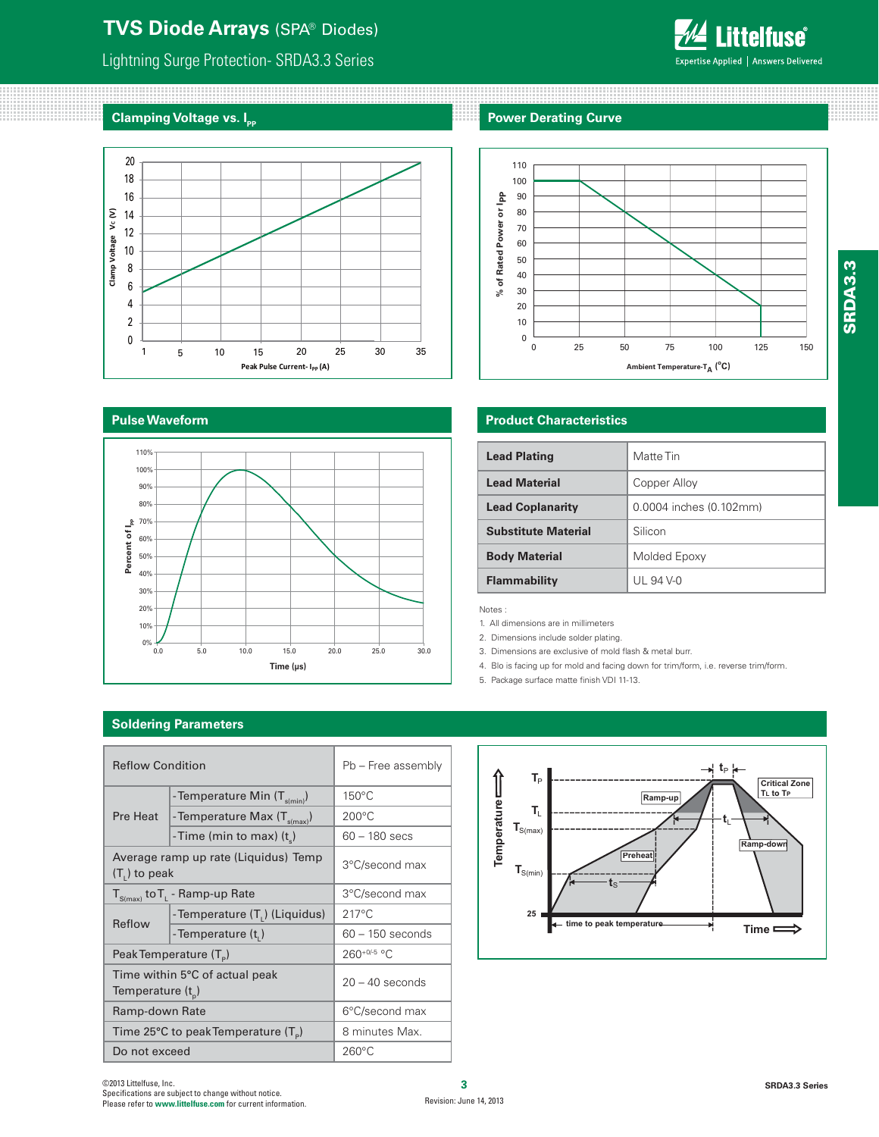### **TVS Diode Arrays** (SPA® Diodes)

### Lightning Surge Protection- SRDA3.3 Series

## **Clamping Voltage vs. I<sub>P</sub>**



### **Pulse Waveform**



### **Power Derating Curve**

<u> 1999 - Jan Barn Barn, maskin politik (</u>



### **Product Characteristics**

| <b>Lead Plating</b>        | Matte Tin               |
|----------------------------|-------------------------|
| <b>Lead Material</b>       | Copper Alloy            |
| <b>Lead Coplanarity</b>    | 0.0004 inches (0.102mm) |
| <b>Substitute Material</b> | Silicon                 |
| <b>Body Material</b>       | Molded Epoxy            |
| Flammability               | UL 94 V-0               |

Notes :

1. All dimensions are in millimeters

2. Dimensions include solder plating.

- 3. Dimensions are exclusive of mold flash & metal burr.
- 4. Blo is facing up for mold and facing down for trim/form, i.e. reverse trim/form.
- 5. Package surface matte finish VDI 11-13.

#### $t_{\text{P}}$ Temperature - $T_P$ **Critical Zone TL to TP Ramp-up Temperature T**L **t**L **T**S(max) **Ramp-down Ramp-do Preheat**  $\mathbf{T}_{S(min)}$  $\overline{\mathbf{t}_\mathrm{S}}$ **25** time to peak temperatur **Time**

### **Soldering Parameters**

| <b>Reflow Condition</b> |                                                           | Pb - Free assembly |  |
|-------------------------|-----------------------------------------------------------|--------------------|--|
|                         | - Temperature Min $(T_{\text{s(min)}})$                   | 150°C              |  |
| Pre Heat                | - Temperature Max $(T_{\text{s(max)}})$                   | $200^{\circ}$ C    |  |
|                         | -Time (min to max) $(t_s)$                                | $60 - 180$ secs    |  |
| $(T1)$ to peak          | Average ramp up rate (Liquidus) Temp                      | 3°C/second max     |  |
|                         | $T_{S(max)}$ to $T_{L}$ - Ramp-up Rate                    | 3°C/second max     |  |
| Reflow                  | - Temperature (T <sub>1</sub> ) (Liquidus)                | $217^{\circ}$ C    |  |
|                         | - Temperature $(ti)$                                      | $60 - 150$ seconds |  |
|                         | Peak Temperature (T <sub>e</sub> )                        | 260+0/-5 °C        |  |
| Temperature $(t_{p})$   | Time within 5°C of actual peak                            | $20 - 40$ seconds  |  |
| Ramp-down Rate          |                                                           | 6°C/second max     |  |
|                         | Time 25 $\degree$ C to peak Temperature (T <sub>o</sub> ) | 8 minutes Max.     |  |
| Do not exceed           |                                                           | $260^{\circ}$ C    |  |